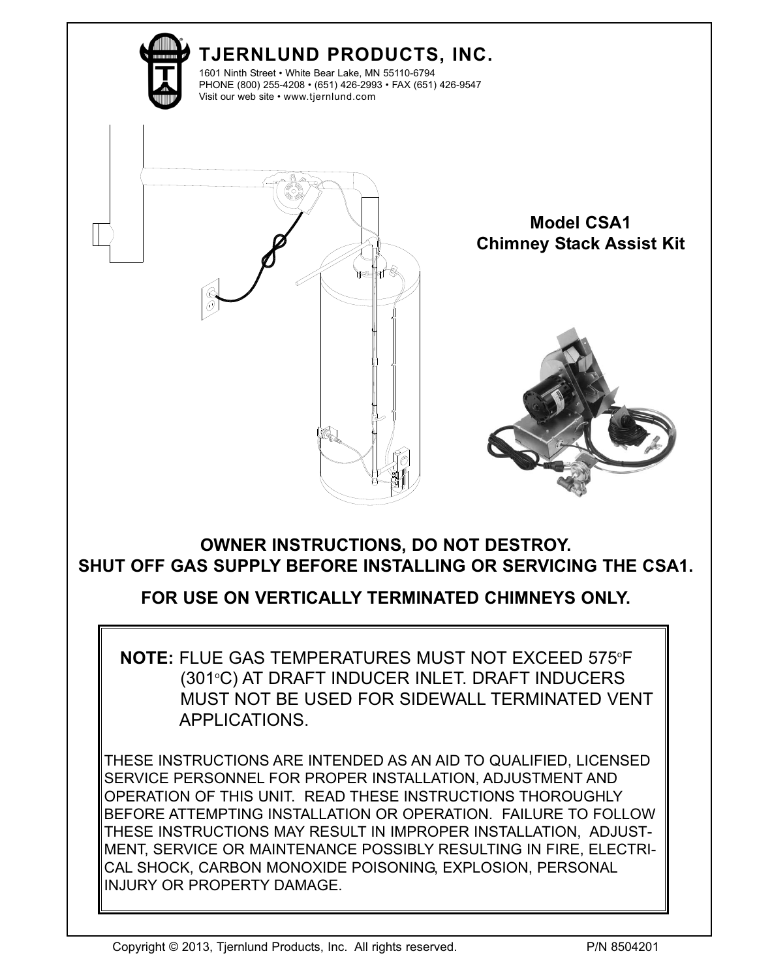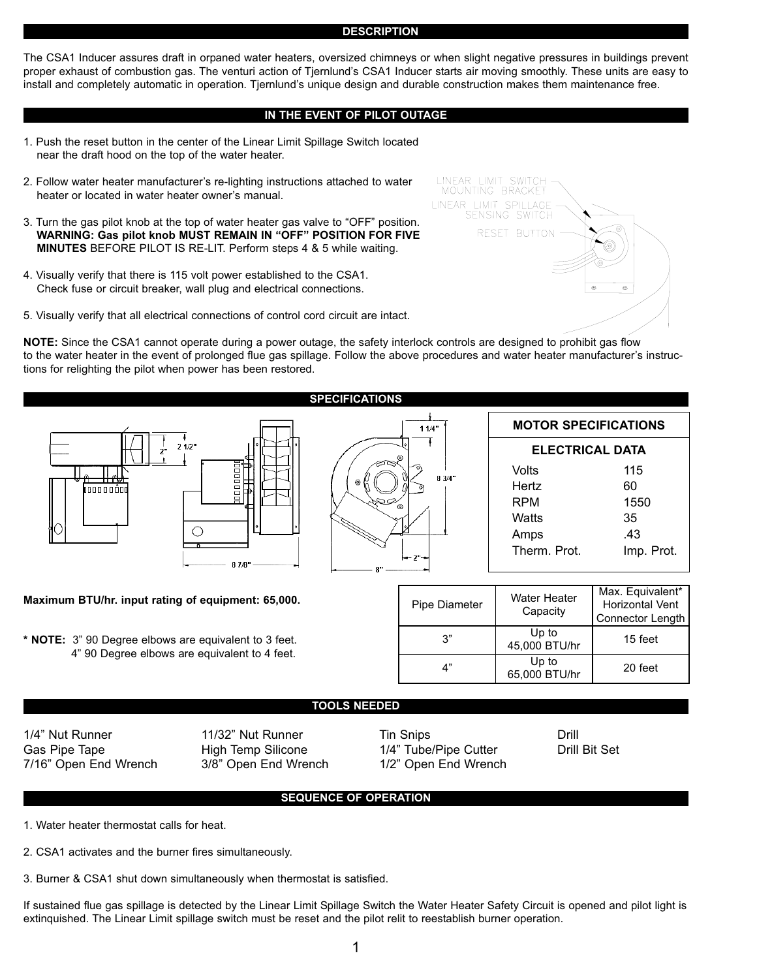#### **DESCRIPTION**

The CSA1 Inducer assures draft in orpaned water heaters, oversized chimneys or when slight negative pressures in buildings prevent proper exhaust of combustion gas. The venturi action of Tjernlund's CSA1 Inducer starts air moving smoothly. These units are easy to install and completely automatic in operation. Tjernlund's unique design and durable construction makes them maintenance free.

# **IN THE EVENT OF PILOT OUTAGE**

- 1. Push the reset button in the center of the Linear Limit Spillage Switch located near the draft hood on the top of the water heater.
- 2. Follow water heater manufacturer's re-lighting instructions attached to water heater or located in water heater owner's manual.
- 3. Turn the gas pilot knob at the top of water heater gas valve to "OFF" position. **WARNING: Gas pilot knob MUST REMAIN IN "OFF" POSITION FOR FIVE MINUTES** BEFORE PILOT IS RE-LIT. Perform steps 4 & 5 while waiting.
- 4. Visually verify that there is 115 volt power established to the CSA1. Check fuse or circuit breaker, wall plug and electrical connections.
- 5. Visually verify that all electrical connections of control cord circuit are intact.

**NOTE:** Since the CSA1 cannot operate during a power outage, the safety interlock controls are designed to prohibit gas flow to the water heater in the event of prolonged flue gas spillage. Follow the above procedures and water heater manufacturer's instructions for relighting the pilot when power has been restored.



# **Maximum BTU/hr. input rating of equipment: 65,000.**

**\* NOTE:** 3" 90 Degree elbows are equivalent to 3 feet. 4" 90 Degree elbows are equivalent to 4 feet.



| <b>MOTOR SPECIFICATIONS</b> |            |  |  |  |
|-----------------------------|------------|--|--|--|
| <b>ELECTRICAL DATA</b>      |            |  |  |  |
| Volts                       | 115        |  |  |  |
| Hertz                       | 60         |  |  |  |
| RPM                         | 1550       |  |  |  |
| Watts                       | 35         |  |  |  |
| Amps                        | .43        |  |  |  |
| Therm. Prot.                | Imp. Prot. |  |  |  |

| Pipe Diameter | Water Heater<br>Capacity | Max. Equivalent*<br>Horizontal Vent<br><b>Connector Length</b> |
|---------------|--------------------------|----------------------------------------------------------------|
| ג?            | Up to<br>45,000 BTU/hr   | 15 feet                                                        |
| ת"            | Up to<br>65,000 BTU/hr   | 20 feet                                                        |

### **TOOLS NEEDED**

1/4" Nut Runner 11/32" Nut Runner Tin Snips Communication Communication of the Muslim Drill Gas Pipe Tape **High Temp Silicone** 1/4" Tube/Pipe Cutter **Drill Bit Set** 7/16" Open End Wrench 1/2" Open End Wrench 7/16" Open End Wrench 3/8" Open End Wrench

# **SEQUENCE OF OPERATION**

1. Water heater thermostat calls for heat.

2. CSA1 activates and the burner fires simultaneously.

3. Burner & CSA1 shut down simultaneously when thermostat is satisfied.

If sustained flue gas spillage is detected by the Linear Limit Spillage Switch the Water Heater Safety Circuit is opened and pilot light is extinquished. The Linear Limit spillage switch must be reset and the pilot relit to reestablish burner operation.

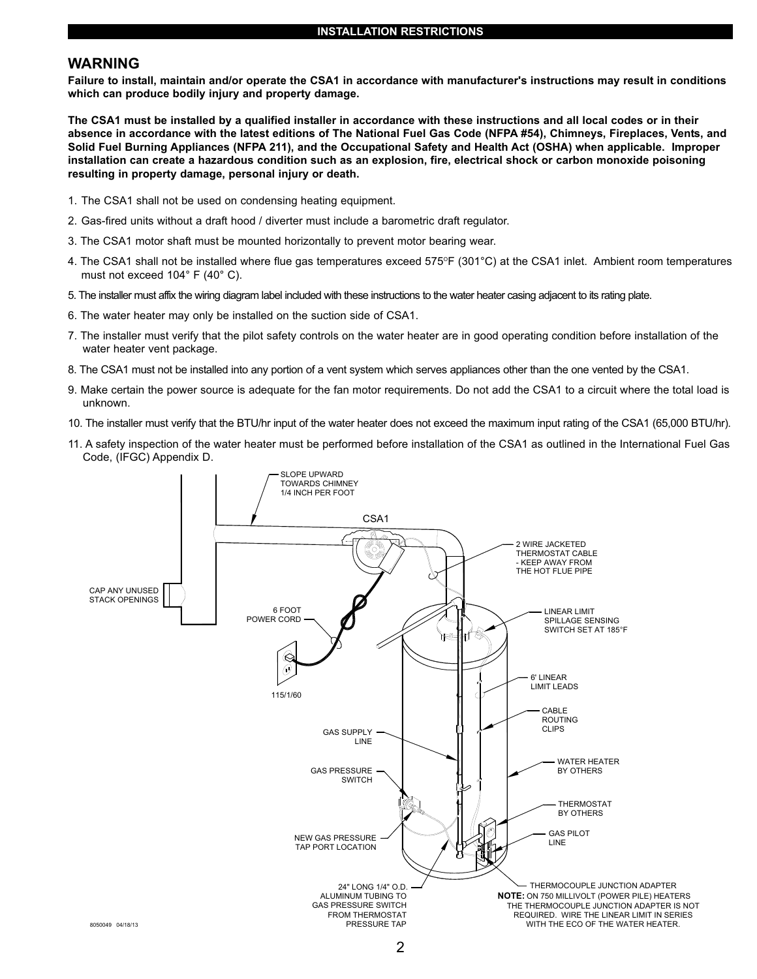# **WARNING**

**Failure to install, maintain and/or operate the CSA1 in accordance with manufacturer's instructions may result in conditions which can produce bodily injury and property damage.** 

**The CSA1 must be installed by a qualified installer in accordance with these instructions and all local codes or in their absence in accordance with the latest editions of The National Fuel Gas Code (NFPA #54), Chimneys, Fireplaces, Vents, and Solid Fuel Burning Appliances (NFPA 211), and the Occupational Safety and Health Act (OSHA) when applicable. Improper installation can create a hazardous condition such as an explosion, fire, electrical shock or carbon monoxide poisoning resulting in property damage, personal injury or death.**

- 1. The CSA1 shall not be used on condensing heating equipment.
- 2. Gas-fired units without a draft hood / diverter must include a barometric draft regulator.
- 3. The CSA1 motor shaft must be mounted horizontally to prevent motor bearing wear.
- 4. The CSA1 shall not be installed where flue gas temperatures exceed 575°F (301°C) at the CSA1 inlet. Ambient room temperatures must not exceed 104° F (40° C).
- 5. The installer must affix the wiring diagram label included with these instructions to the water heater casing adjacent to its rating plate.
- 6. The water heater may only be installed on the suction side of CSA1.
- 7. The installer must verify that the pilot safety controls on the water heater are in good operating condition before installation of the water heater vent package.
- 8. The CSA1 must not be installed into any portion of a vent system which serves appliances other than the one vented by the CSA1.
- 9. Make certain the power source is adequate for the fan motor requirements. Do not add the CSA1 to a circuit where the total load is unknown.
- 10. The installer must verify that the BTU/hr input of the water heater does not exceed the maximum input rating of the CSA1 (65,000 BTU/hr).
- 11. A safety inspection of the water heater must be performed before installation of the CSA1 as outlined in the International Fuel Gas Code, (IFGC) Appendix D.

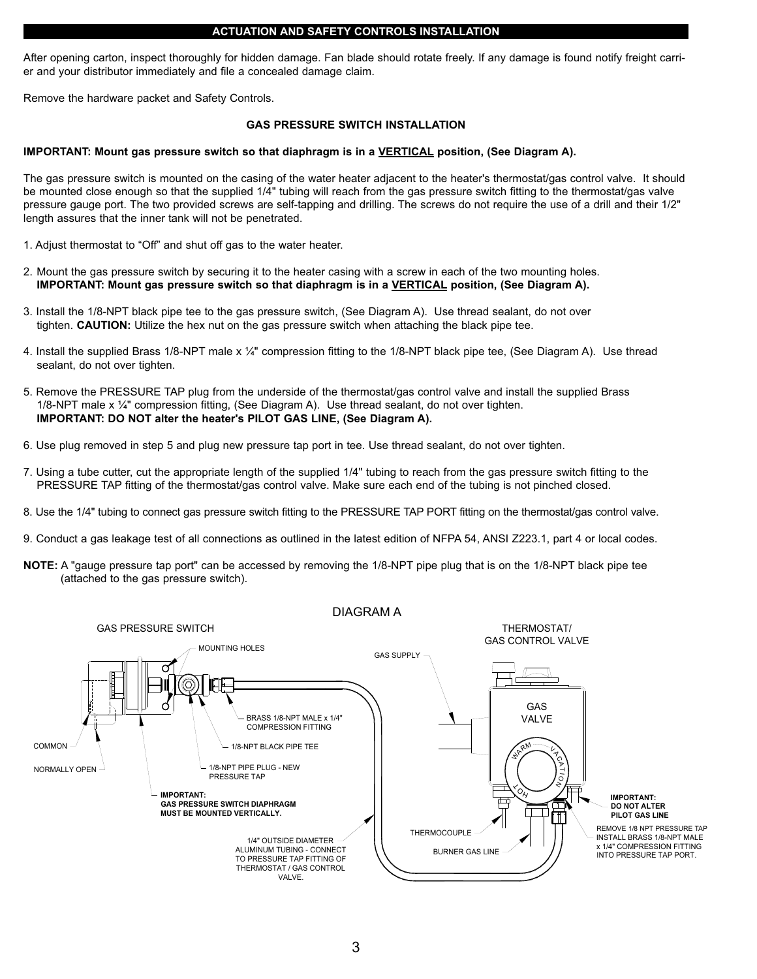### **ACTUATION AND SAFETY CONTROLS INSTALLATION**

After opening carton, inspect thoroughly for hidden damage. Fan blade should rotate freely. If any damage is found notify freight carrier and your distributor immediately and file a concealed damage claim.

Remove the hardware packet and Safety Controls.

### **GAS PRESSURE SWITCH INSTALLATION**

### **IMPORTANT: Mount gas pressure switch so that diaphragm is in a VERTICAL position, (See Diagram A).**

The gas pressure switch is mounted on the casing of the water heater adjacent to the heater's thermostat/gas control valve. It should be mounted close enough so that the supplied 1/4" tubing will reach from the gas pressure switch fitting to the thermostat/gas valve pressure gauge port. The two provided screws are self-tapping and drilling. The screws do not require the use of a drill and their 1/2" length assures that the inner tank will not be penetrated.

- 1. Adjust thermostat to "Off" and shut off gas to the water heater.
- 2. Mount the gas pressure switch by securing it to the heater casing with a screw in each of the two mounting holes. **IMPORTANT: Mount gas pressure switch so that diaphragm is in a VERTICAL position, (See Diagram A).**
- 3. Install the 1/8-NPT black pipe tee to the gas pressure switch, (See Diagram A). Use thread sealant, do not over tighten. **CAUTION:** Utilize the hex nut on the gas pressure switch when attaching the black pipe tee.
- 4. Install the supplied Brass 1/8-NPT male x ¼" compression fitting to the 1/8-NPT black pipe tee, (See Diagram A). Use thread sealant, do not over tighten.
- 5. Remove the PRESSURE TAP plug from the underside of the thermostat/gas control valve and install the supplied Brass 1/8-NPT male x ¼" compression fitting, (See Diagram A). Use thread sealant, do not over tighten. **IMPORTANT: DO NOT alter the heater's PILOT GAS LINE, (See Diagram A).**
- 6. Use plug removed in step 5 and plug new pressure tap port in tee. Use thread sealant, do not over tighten.
- 7. Using a tube cutter, cut the appropriate length of the supplied 1/4" tubing to reach from the gas pressure switch fitting to the PRESSURE TAP fitting of the thermostat/gas control valve. Make sure each end of the tubing is not pinched closed.
- $\sum_{i=1}^{n}$ 8. Use the 1/4" tubing to connect gas pressure switch fitting to the PRESSURE TAP PORT fitting on the thermostat/gas control valve.
- 9. Conduct a gas leakage test of all connections as outlined in the latest edition of NFPA 54, ANSI Z223.1, part 4 or local codes.
- **NOTE:** A "gauge pressure tap port" can be accessed by removing the 1/8-NPT pipe plug that is on the 1/8-NPT black pipe tee (attached to the gas pressure switch).

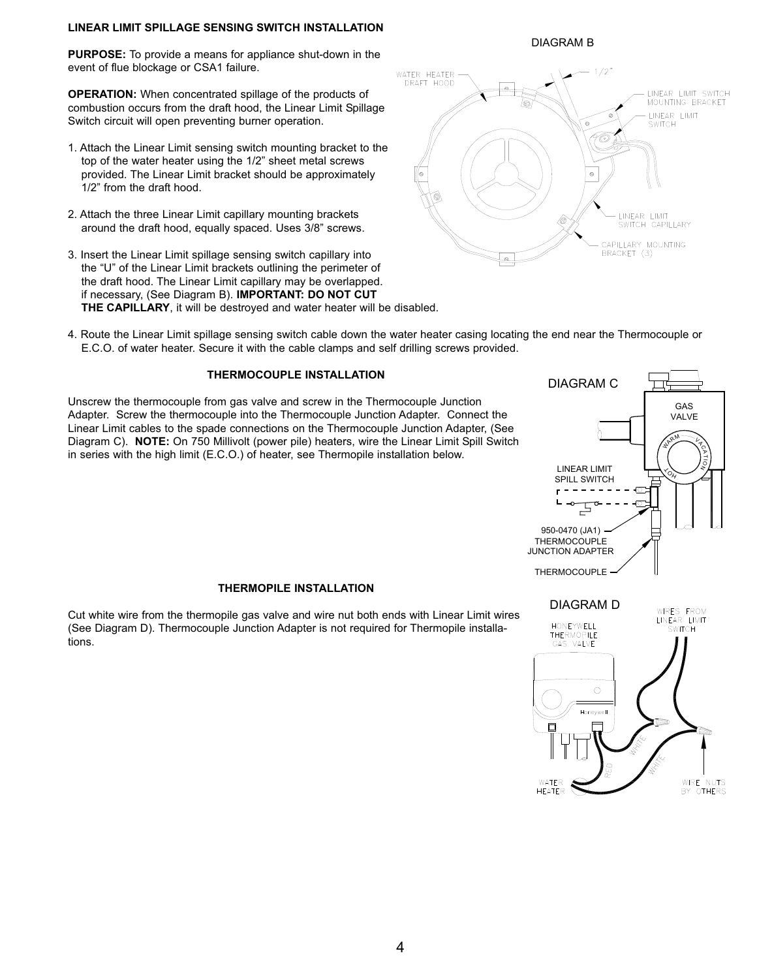# **LINEAR LIMIT SPILLAGE SENSING SWITCH INSTALLATION**

**PURPOSE:** To provide a means for appliance shut-down in the event of flue blockage or CSA1 failure.

**OPERATION:** When concentrated spillage of the products of combustion occurs from the draft hood, the Linear Limit Spillage Switch circuit will open preventing burner operation.

- 1. Attach the Linear Limit sensing switch mounting bracket to the top of the water heater using the 1/2" sheet metal screws provided. The Linear Limit bracket should be approximately 1/2" from the draft hood.
- 2. Attach the three Linear Limit capillary mounting brackets around the draft hood, equally spaced. Uses 3/8" screws.
- 3. Insert the Linear Limit spillage sensing switch capillary into the "U" of the Linear Limit brackets outlining the perimeter of the draft hood. The Linear Limit capillary may be overlapped. if necessary, (See Diagram B). **IMPORTANT: DO NOT CUT  THE CAPILLARY**, it will be destroyed and water heater will be disabled.



4. Route the Linear Limit spillage sensing switch cable down the water heater casing locating the end near the Thermocouple or E.C.O. of water heater. Secure it with the cable clamps and self drilling screws provided.

# **THERMOCOUPLE INSTALLATION**

Unscrew the thermocouple from gas valve and screw in the Thermocouple Junction Adapter. Screw the thermocouple into the Thermocouple Junction Adapter. Connect the Linear Limit cables to the spade connections on the Thermocouple Junction Adapter, (See Diagram C). **NOTE:** On 750 Millivolt (power pile) heaters, wire the Linear Limit Spill Switch in series with the high limit (E.C.O.) of heater, see Thermopile installation below.



Cut white wire from the thermopile gas valve and wire nut both ends with Linear Limit wires (See Diagram D). Thermocouple Junction Adapter is not required for Thermopile installations.



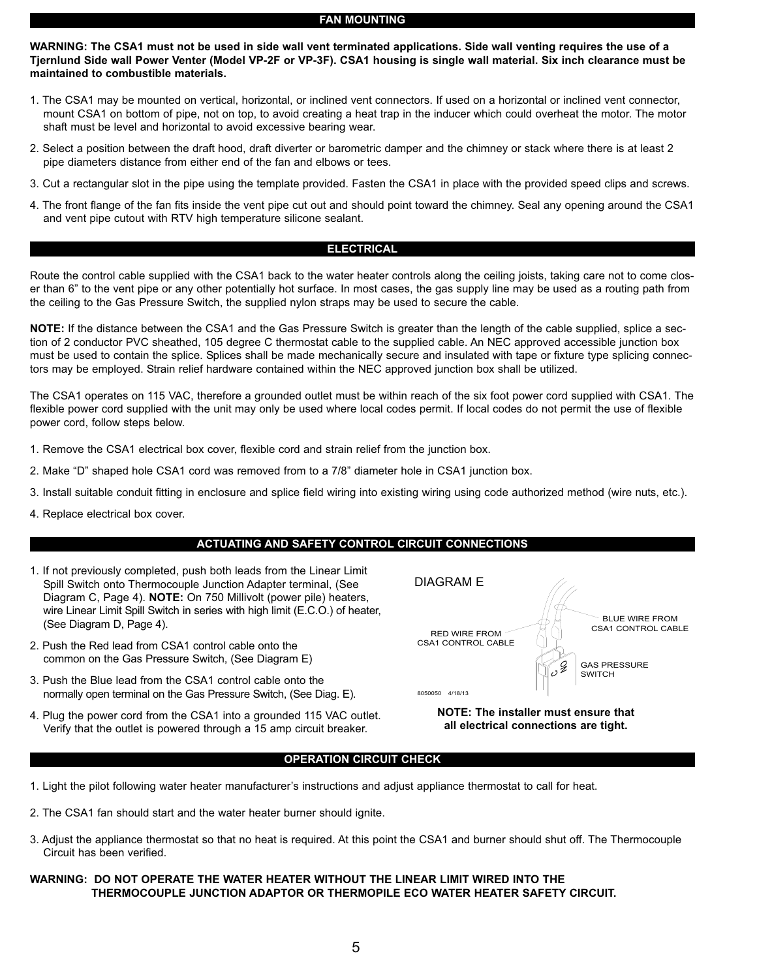#### **FAN MOUNTING**

**WARNING: The CSA1 must not be used in side wall vent terminated applications. Side wall venting requires the use of a Tjernlund Side wall Power Venter (Model VP-2F or VP-3F). CSA1 housing is single wall material. Six inch clearance must be maintained to combustible materials.**

- 1. The CSA1 may be mounted on vertical, horizontal, or inclined vent connectors. If used on a horizontal or inclined vent connector, mount CSA1 on bottom of pipe, not on top, to avoid creating a heat trap in the inducer which could overheat the motor. The motor shaft must be level and horizontal to avoid excessive bearing wear.
- 2. Select a position between the draft hood, draft diverter or barometric damper and the chimney or stack where there is at least 2 pipe diameters distance from either end of the fan and elbows or tees.
- 3. Cut a rectangular slot in the pipe using the template provided. Fasten the CSA1 in place with the provided speed clips and screws.
- 4. The front flange of the fan fits inside the vent pipe cut out and should point toward the chimney. Seal any opening around the CSA1 and vent pipe cutout with RTV high temperature silicone sealant.

# **ELECTRICAL**

Route the control cable supplied with the CSA1 back to the water heater controls along the ceiling joists, taking care not to come closer than 6" to the vent pipe or any other potentially hot surface. In most cases, the gas supply line may be used as a routing path from the ceiling to the Gas Pressure Switch, the supplied nylon straps may be used to secure the cable.

**NOTE:** If the distance between the CSA1 and the Gas Pressure Switch is greater than the length of the cable supplied, splice a section of 2 conductor PVC sheathed, 105 degree C thermostat cable to the supplied cable. An NEC approved accessible junction box must be used to contain the splice. Splices shall be made mechanically secure and insulated with tape or fixture type splicing connectors may be employed. Strain relief hardware contained within the NEC approved junction box shall be utilized.

The CSA1 operates on 115 VAC, therefore a grounded outlet must be within reach of the six foot power cord supplied with CSA1. The flexible power cord supplied with the unit may only be used where local codes permit. If local codes do not permit the use of flexible power cord, follow steps below.

- 1. Remove the CSA1 electrical box cover, flexible cord and strain relief from the junction box.
- 2. Make "D" shaped hole CSA1 cord was removed from to a 7/8" diameter hole in CSA1 junction box.
- 3. Install suitable conduit fitting in enclosure and splice field wiring into existing wiring using code authorized method (wire nuts, etc.).
- 4. Replace electrical box cover.

# **ACTUATING AND SAFETY CONTROL CIRCUIT CONNECTIONS**

- 1. If not previously completed, push both leads from the Linear Limit Spill Switch onto Thermocouple Junction Adapter terminal, (See Diagram C, Page 4). **NOTE:** On 750 Millivolt (power pile) heaters, wire Linear Limit Spill Switch in series with high limit (E.C.O.) of heater, (See Diagram D, Page 4).
- 2. Push the Red lead from CSA1 control cable onto the common on the Gas Pressure Switch, (See Diagram E)
- 3. Push the Blue lead from the CSA1 control cable onto the normally open terminal on the Gas Pressure Switch, (See Diag. E).
- 4. Plug the power cord from the CSA1 into a grounded 115 VAC outlet. Verify that the outlet is powered through a 15 amp circuit breaker.



**NOTE: The installer must ensure that all electrical connections are tight.**

#### **OPERATION CIRCUIT CHECK**

- 1. Light the pilot following water heater manufacturer's instructions and adjust appliance thermostat to call for heat.
- 2. The CSA1 fan should start and the water heater burner should ignite.
- 3. Adjust the appliance thermostat so that no heat is required. At this point the CSA1 and burner should shut off. The Thermocouple Circuit has been verified.

# **WARNING: DO NOT OPERATE THE WATER HEATER WITHOUT THE LINEAR LIMIT WIRED INTO THE THERMOCOUPLE JUNCTION ADAPTOR OR THERMOPILE ECO WATER HEATER SAFETY CIRCUIT.**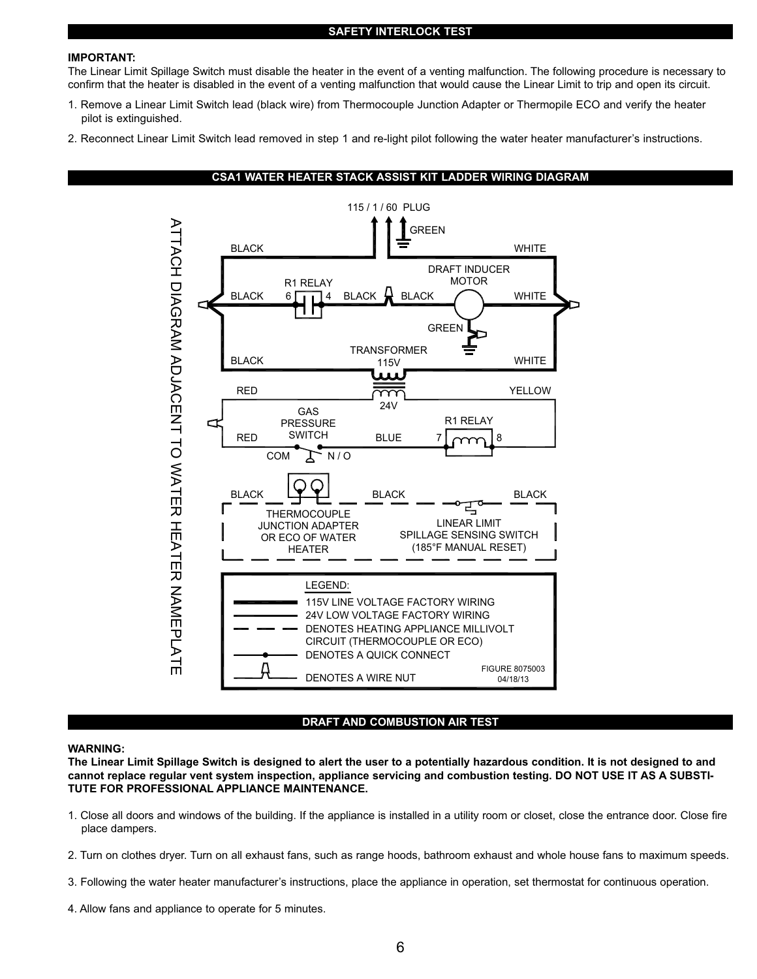### **SAFETY INTERLOCK TEST**

#### **IMPORTANT:**

The Linear Limit Spillage Switch must disable the heater in the event of a venting malfunction. The following procedure is necessary to confirm that the heater is disabled in the event of a venting malfunction that would cause the Linear Limit to trip and open its circuit.

- 1. Remove a Linear Limit Switch lead (black wire) from Thermocouple Junction Adapter or Thermopile ECO and verify the heater pilot is extinguished.
- 2. Reconnect Linear Limit Switch lead removed in step 1 and re-light pilot following the water heater manufacturer's instructions.



#### **DRAFT AND COMBUSTION AIR TEST**

#### **WARNING:**

**The Linear Limit Spillage Switch is designed to alert the user to a potentially hazardous condition. It is not designed to and cannot replace regular vent system inspection, appliance servicing and combustion testing. DO NOT USE IT AS A SUBSTI-TUTE FOR PROFESSIONAL APPLIANCE MAINTENANCE.**

- 1. Close all doors and windows of the building. If the appliance is installed in a utility room or closet, close the entrance door. Close fire place dampers.
- 2. Turn on clothes dryer. Turn on all exhaust fans, such as range hoods, bathroom exhaust and whole house fans to maximum speeds.
- 3. Following the water heater manufacturer's instructions, place the appliance in operation, set thermostat for continuous operation.
- 4. Allow fans and appliance to operate for 5 minutes.